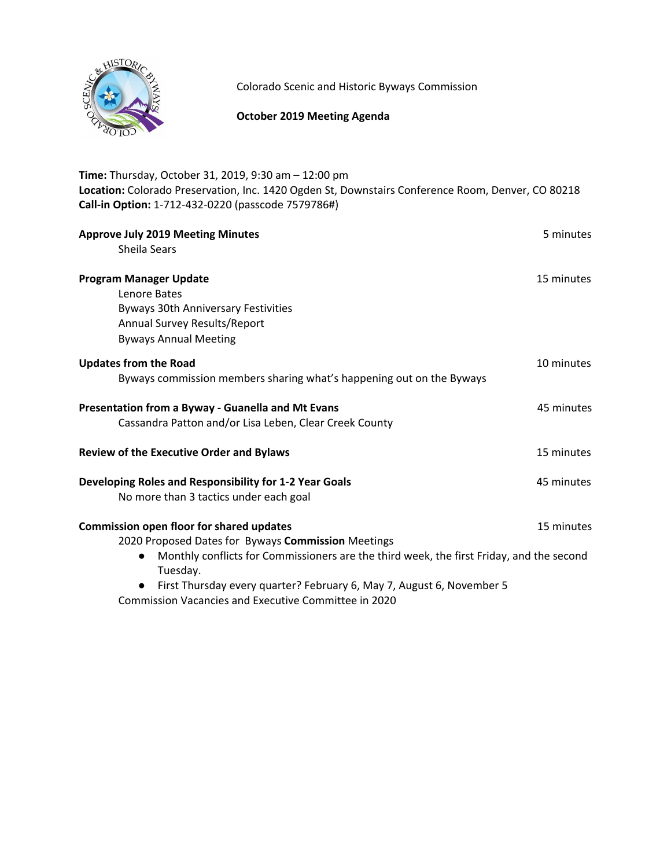

Colorado Scenic and Historic Byways Commission

# **October 2019 Meeting Agenda**

| Time: Thursday, October 31, 2019, 9:30 am - 12:00 pm                                                                                                    |            |
|---------------------------------------------------------------------------------------------------------------------------------------------------------|------------|
| Location: Colorado Preservation, Inc. 1420 Ogden St, Downstairs Conference Room, Denver, CO 80218<br>Call-in Option: 1-712-432-0220 (passcode 7579786#) |            |
|                                                                                                                                                         |            |
| <b>Approve July 2019 Meeting Minutes</b>                                                                                                                | 5 minutes  |
| <b>Sheila Sears</b>                                                                                                                                     |            |
| <b>Program Manager Update</b>                                                                                                                           | 15 minutes |
| Lenore Bates                                                                                                                                            |            |
| <b>Byways 30th Anniversary Festivities</b>                                                                                                              |            |
| Annual Survey Results/Report                                                                                                                            |            |
| <b>Byways Annual Meeting</b>                                                                                                                            |            |
| <b>Updates from the Road</b>                                                                                                                            | 10 minutes |
| Byways commission members sharing what's happening out on the Byways                                                                                    |            |
| Presentation from a Byway - Guanella and Mt Evans                                                                                                       | 45 minutes |
| Cassandra Patton and/or Lisa Leben, Clear Creek County                                                                                                  |            |
| <b>Review of the Executive Order and Bylaws</b>                                                                                                         | 15 minutes |
| Developing Roles and Responsibility for 1-2 Year Goals                                                                                                  | 45 minutes |
| No more than 3 tactics under each goal                                                                                                                  |            |
| <b>Commission open floor for shared updates</b>                                                                                                         | 15 minutes |
| 2020 Proposed Dates for Byways Commission Meetings                                                                                                      |            |
| Monthly conflicts for Commissioners are the third week, the first Friday, and the second<br>Tuesday.                                                    |            |
| • First Thursday every quarter? February 6 May 7 August 6 November 5                                                                                    |            |

First Thursday every quarter? February 6, May 7, August 6, November 5 Commission Vacancies and Executive Committee in 2020